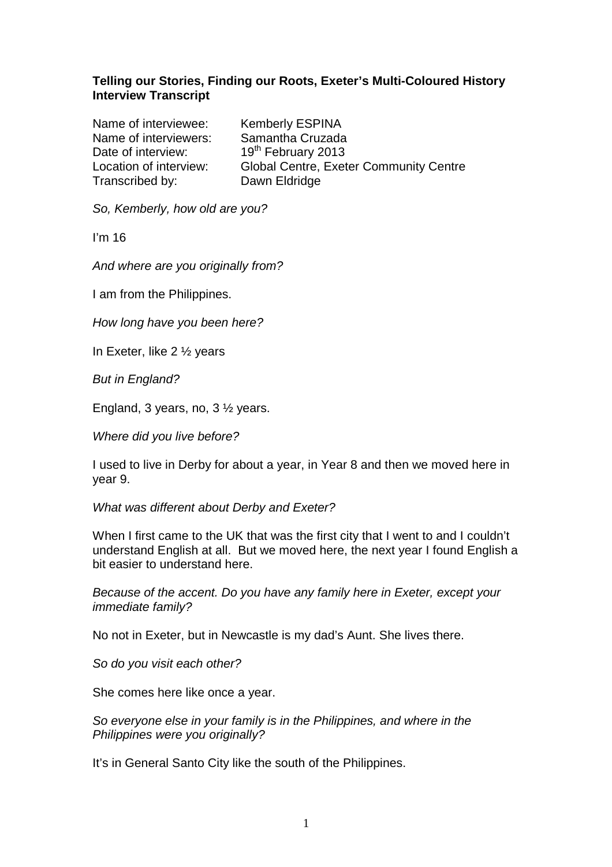# **Telling our Stories, Finding our Roots, Exeter's Multi-Coloured History Interview Transcript**

Name of interviewee: Kemberly ESPINA Name of interviewers: Samantha Cruzada Date of interview: 19<sup>th</sup> February 2013 Transcribed by: Dawn Eldridge

Location of interview: Global Centre, Exeter Community Centre

So, Kemberly, how old are you?

I'm 16

And where are you originally from?

I am from the Philippines.

How long have you been here?

In Exeter, like 2 ½ years

But in England?

England, 3 years, no, 3 ½ years.

Where did you live before?

I used to live in Derby for about a year, in Year 8 and then we moved here in year 9.

What was different about Derby and Exeter?

When I first came to the UK that was the first city that I went to and I couldn't understand English at all. But we moved here, the next year I found English a bit easier to understand here.

Because of the accent. Do you have any family here in Exeter, except your immediate family?

No not in Exeter, but in Newcastle is my dad's Aunt. She lives there.

So do you visit each other?

She comes here like once a year.

So everyone else in your family is in the Philippines, and where in the Philippines were you originally?

It's in General Santo City like the south of the Philippines.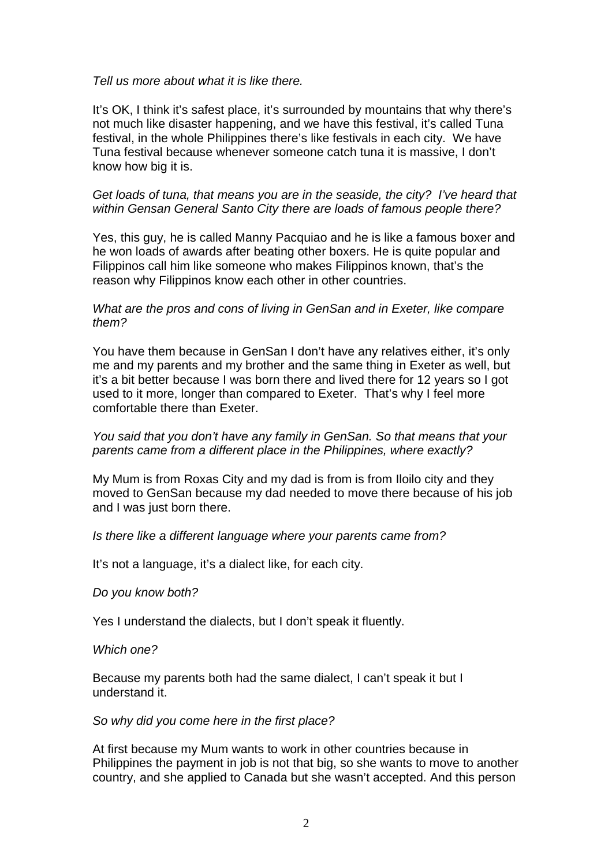#### Tell us more about what it is like there.

It's OK, I think it's safest place, it's surrounded by mountains that why there's not much like disaster happening, and we have this festival, it's called Tuna festival, in the whole Philippines there's like festivals in each city. We have Tuna festival because whenever someone catch tuna it is massive, I don't know how big it is.

## Get loads of tuna, that means you are in the seaside, the city? I've heard that within Gensan General Santo City there are loads of famous people there?

Yes, this guy, he is called Manny Pacquiao and he is like a famous boxer and he won loads of awards after beating other boxers. He is quite popular and Filippinos call him like someone who makes Filippinos known, that's the reason why Filippinos know each other in other countries.

#### What are the pros and cons of living in GenSan and in Exeter, like compare them?

You have them because in GenSan I don't have any relatives either, it's only me and my parents and my brother and the same thing in Exeter as well, but it's a bit better because I was born there and lived there for 12 years so I got used to it more, longer than compared to Exeter. That's why I feel more comfortable there than Exeter.

# You said that you don't have any family in GenSan. So that means that your parents came from a different place in the Philippines, where exactly?

My Mum is from Roxas City and my dad is from is from Iloilo city and they moved to GenSan because my dad needed to move there because of his job and I was just born there.

# Is there like a different language where your parents came from?

It's not a language, it's a dialect like, for each city.

#### Do you know both?

Yes I understand the dialects, but I don't speak it fluently.

#### Which one?

Because my parents both had the same dialect, I can't speak it but I understand it.

#### So why did you come here in the first place?

At first because my Mum wants to work in other countries because in Philippines the payment in job is not that big, so she wants to move to another country, and she applied to Canada but she wasn't accepted. And this person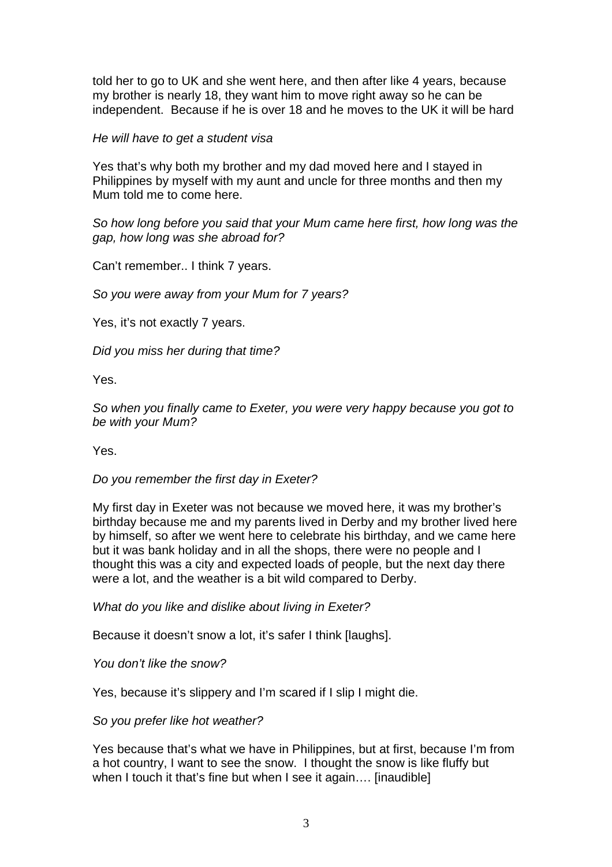told her to go to UK and she went here, and then after like 4 years, because my brother is nearly 18, they want him to move right away so he can be independent. Because if he is over 18 and he moves to the UK it will be hard

### He will have to get a student visa

Yes that's why both my brother and my dad moved here and I stayed in Philippines by myself with my aunt and uncle for three months and then my Mum told me to come here.

So how long before you said that your Mum came here first, how long was the gap, how long was she abroad for?

Can't remember.. I think 7 years.

So you were away from your Mum for 7 years?

Yes, it's not exactly 7 years.

Did you miss her during that time?

Yes.

So when you finally came to Exeter, you were very happy because you got to be with your Mum?

Yes.

#### Do you remember the first day in Exeter?

My first day in Exeter was not because we moved here, it was my brother's birthday because me and my parents lived in Derby and my brother lived here by himself, so after we went here to celebrate his birthday, and we came here but it was bank holiday and in all the shops, there were no people and I thought this was a city and expected loads of people, but the next day there were a lot, and the weather is a bit wild compared to Derby.

What do you like and dislike about living in Exeter?

Because it doesn't snow a lot, it's safer I think [laughs].

You don't like the snow?

Yes, because it's slippery and I'm scared if I slip I might die.

So you prefer like hot weather?

Yes because that's what we have in Philippines, but at first, because I'm from a hot country, I want to see the snow. I thought the snow is like fluffy but when I touch it that's fine but when I see it again.... [inaudible]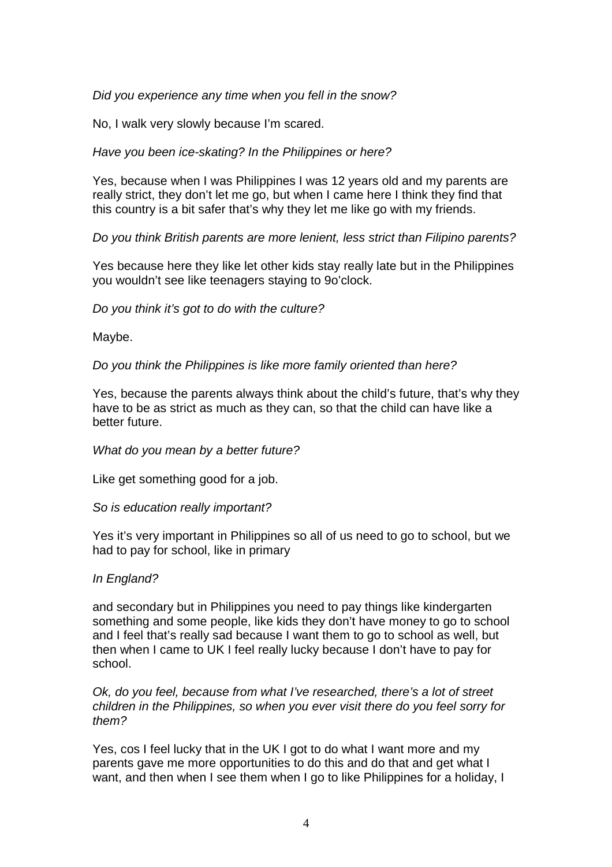Did you experience any time when you fell in the snow?

No, I walk very slowly because I'm scared.

Have you been ice-skating? In the Philippines or here?

Yes, because when I was Philippines I was 12 years old and my parents are really strict, they don't let me go, but when I came here I think they find that this country is a bit safer that's why they let me like go with my friends.

Do you think British parents are more lenient, less strict than Filipino parents?

Yes because here they like let other kids stay really late but in the Philippines you wouldn't see like teenagers staying to 9o'clock.

Do you think it's got to do with the culture?

Maybe.

Do you think the Philippines is like more family oriented than here?

Yes, because the parents always think about the child's future, that's why they have to be as strict as much as they can, so that the child can have like a better future.

What do you mean by a better future?

Like get something good for a job.

So is education really important?

Yes it's very important in Philippines so all of us need to go to school, but we had to pay for school, like in primary

# In England?

and secondary but in Philippines you need to pay things like kindergarten something and some people, like kids they don't have money to go to school and I feel that's really sad because I want them to go to school as well, but then when I came to UK I feel really lucky because I don't have to pay for school.

Ok, do you feel, because from what I've researched, there's a lot of street children in the Philippines, so when you ever visit there do you feel sorry for them?

Yes, cos I feel lucky that in the UK I got to do what I want more and my parents gave me more opportunities to do this and do that and get what I want, and then when I see them when I go to like Philippines for a holiday, I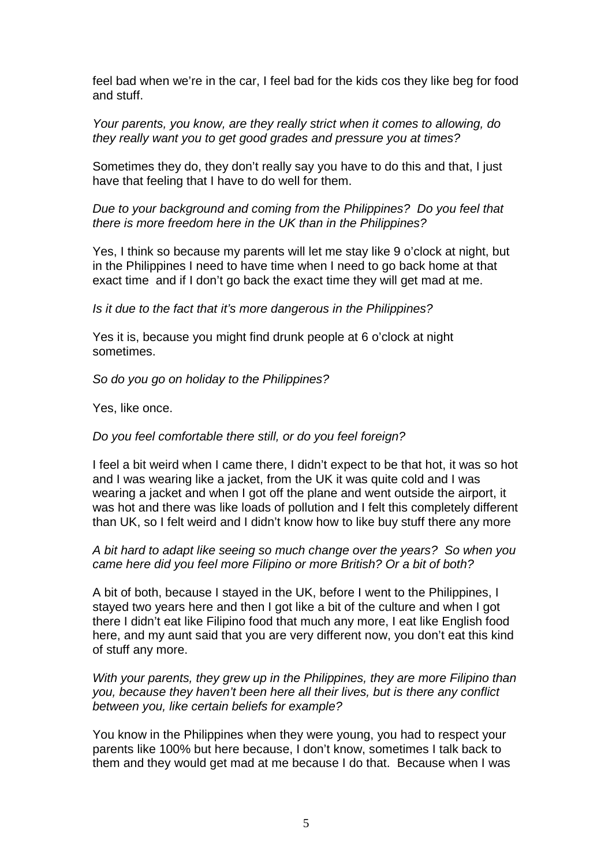feel bad when we're in the car, I feel bad for the kids cos they like beg for food and stuff.

Your parents, you know, are they really strict when it comes to allowing, do they really want you to get good grades and pressure you at times?

Sometimes they do, they don't really say you have to do this and that, I just have that feeling that I have to do well for them.

Due to your background and coming from the Philippines? Do you feel that there is more freedom here in the UK than in the Philippines?

Yes, I think so because my parents will let me stay like 9 o'clock at night, but in the Philippines I need to have time when I need to go back home at that exact time and if I don't go back the exact time they will get mad at me.

Is it due to the fact that it's more dangerous in the Philippines?

Yes it is, because you might find drunk people at 6 o'clock at night sometimes.

So do you go on holiday to the Philippines?

Yes, like once.

Do you feel comfortable there still, or do you feel foreign?

I feel a bit weird when I came there, I didn't expect to be that hot, it was so hot and I was wearing like a jacket, from the UK it was quite cold and I was wearing a jacket and when I got off the plane and went outside the airport, it was hot and there was like loads of pollution and I felt this completely different than UK, so I felt weird and I didn't know how to like buy stuff there any more

### A bit hard to adapt like seeing so much change over the years? So when you came here did you feel more Filipino or more British? Or a bit of both?

A bit of both, because I stayed in the UK, before I went to the Philippines, I stayed two years here and then I got like a bit of the culture and when I got there I didn't eat like Filipino food that much any more, I eat like English food here, and my aunt said that you are very different now, you don't eat this kind of stuff any more.

With your parents, they grew up in the Philippines, they are more Filipino than you, because they haven't been here all their lives, but is there any conflict between you, like certain beliefs for example?

You know in the Philippines when they were young, you had to respect your parents like 100% but here because, I don't know, sometimes I talk back to them and they would get mad at me because I do that. Because when I was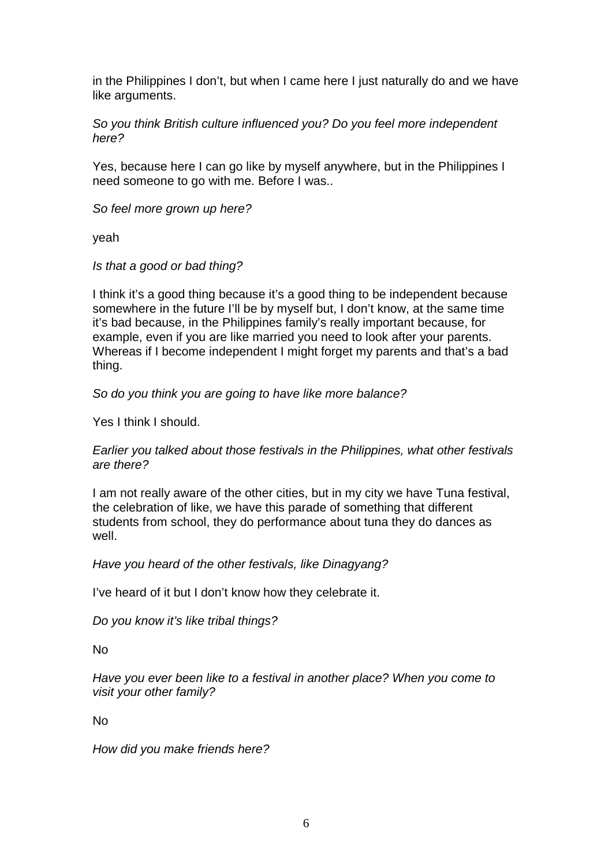in the Philippines I don't, but when I came here I just naturally do and we have like arguments.

So you think British culture influenced you? Do you feel more independent here?

Yes, because here I can go like by myself anywhere, but in the Philippines I need someone to go with me. Before I was..

So feel more grown up here?

yeah

Is that a good or bad thing?

I think it's a good thing because it's a good thing to be independent because somewhere in the future I'll be by myself but, I don't know, at the same time it's bad because, in the Philippines family's really important because, for example, even if you are like married you need to look after your parents. Whereas if I become independent I might forget my parents and that's a bad thing.

So do you think you are going to have like more balance?

Yes I think I should.

Earlier you talked about those festivals in the Philippines, what other festivals are there?

I am not really aware of the other cities, but in my city we have Tuna festival, the celebration of like, we have this parade of something that different students from school, they do performance about tuna they do dances as well.

Have you heard of the other festivals, like Dinagyang?

I've heard of it but I don't know how they celebrate it.

Do you know it's like tribal things?

No

Have you ever been like to a festival in another place? When you come to visit your other family?

No

How did you make friends here?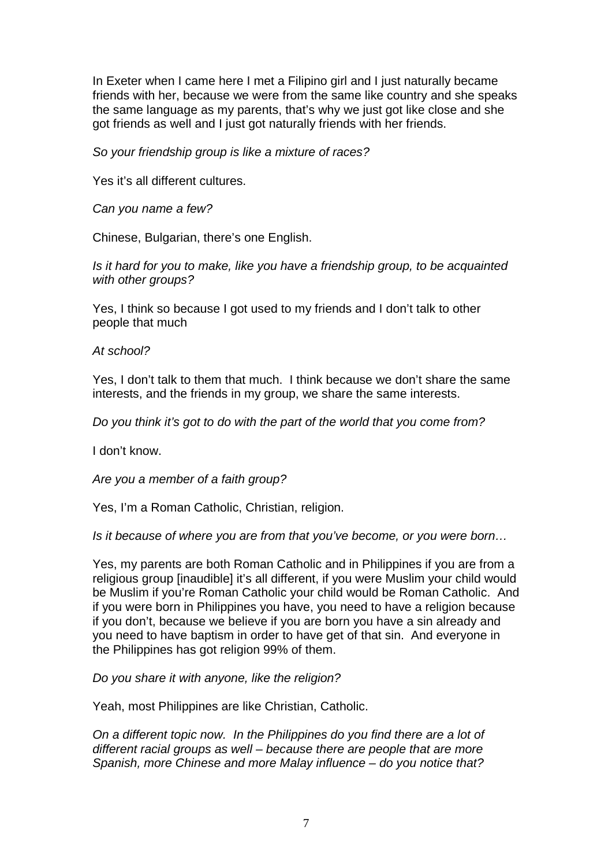In Exeter when I came here I met a Filipino girl and I just naturally became friends with her, because we were from the same like country and she speaks the same language as my parents, that's why we just got like close and she got friends as well and I just got naturally friends with her friends.

So your friendship group is like a mixture of races?

Yes it's all different cultures.

Can you name a few?

Chinese, Bulgarian, there's one English.

Is it hard for you to make, like you have a friendship group, to be acquainted with other groups?

Yes, I think so because I got used to my friends and I don't talk to other people that much

At school?

Yes, I don't talk to them that much. I think because we don't share the same interests, and the friends in my group, we share the same interests.

Do you think it's got to do with the part of the world that you come from?

I don't know.

Are you a member of a faith group?

Yes, I'm a Roman Catholic, Christian, religion.

Is it because of where you are from that you've become, or you were born…

Yes, my parents are both Roman Catholic and in Philippines if you are from a religious group [inaudible] it's all different, if you were Muslim your child would be Muslim if you're Roman Catholic your child would be Roman Catholic. And if you were born in Philippines you have, you need to have a religion because if you don't, because we believe if you are born you have a sin already and you need to have baptism in order to have get of that sin. And everyone in the Philippines has got religion 99% of them.

Do you share it with anyone, like the religion?

Yeah, most Philippines are like Christian, Catholic.

On a different topic now. In the Philippines do you find there are a lot of different racial groups as well – because there are people that are more Spanish, more Chinese and more Malay influence – do you notice that?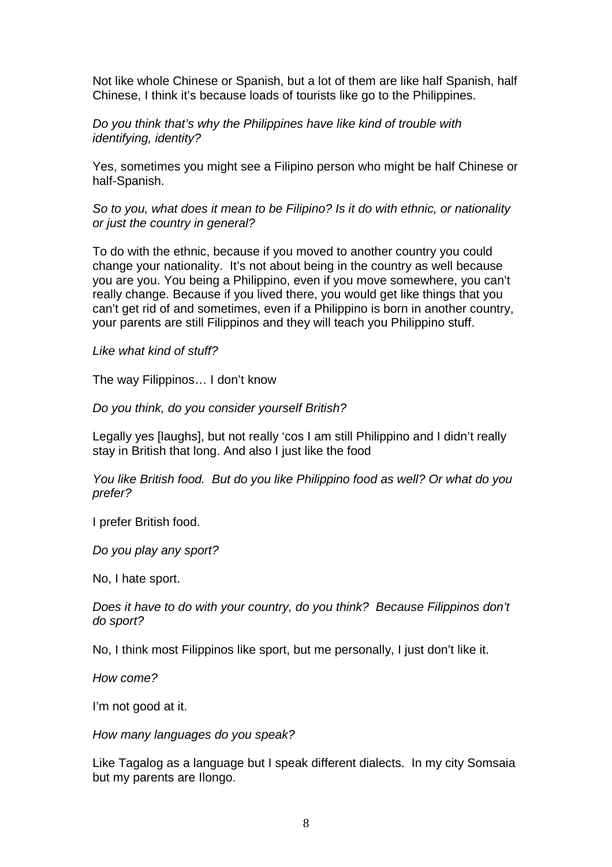Not like whole Chinese or Spanish, but a lot of them are like half Spanish, half Chinese, I think it's because loads of tourists like go to the Philippines.

Do you think that's why the Philippines have like kind of trouble with identifying, identity?

Yes, sometimes you might see a Filipino person who might be half Chinese or half-Spanish.

So to you, what does it mean to be Filipino? Is it do with ethnic, or nationality or just the country in general?

To do with the ethnic, because if you moved to another country you could change your nationality. It's not about being in the country as well because you are you. You being a Philippino, even if you move somewhere, you can't really change. Because if you lived there, you would get like things that you can't get rid of and sometimes, even if a Philippino is born in another country, your parents are still Filippinos and they will teach you Philippino stuff.

Like what kind of stuff?

The way Filippinos… I don't know

Do you think, do you consider yourself British?

Legally yes [laughs], but not really 'cos I am still Philippino and I didn't really stay in British that long. And also I just like the food

You like British food. But do you like Philippino food as well? Or what do you prefer?

I prefer British food.

Do you play any sport?

No, I hate sport.

Does it have to do with your country, do you think? Because Filippinos don't do sport?

No, I think most Filippinos like sport, but me personally, I just don't like it.

How come?

I'm not good at it.

How many languages do you speak?

Like Tagalog as a language but I speak different dialects. In my city Somsaia but my parents are Ilongo.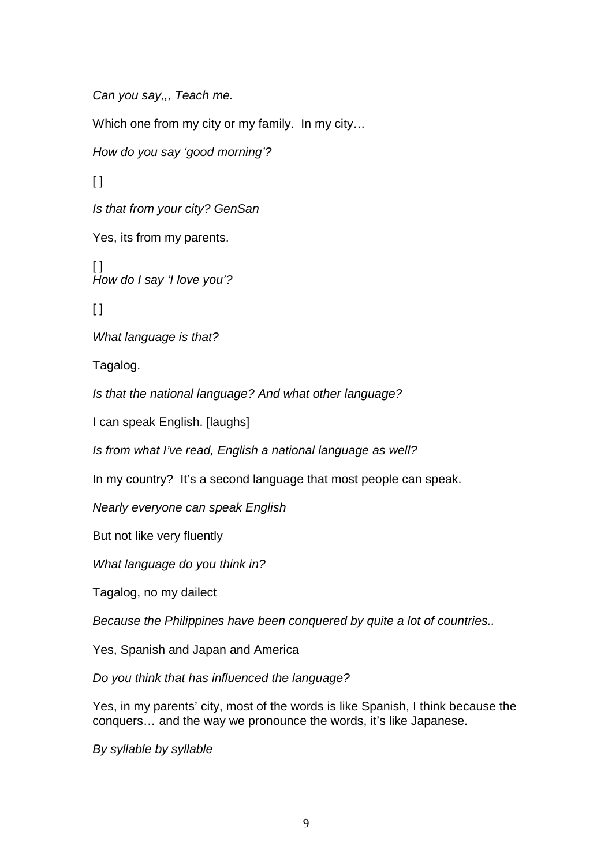Can you say,,, Teach me.

Which one from my city or my family. In my city…

How do you say 'good morning'?

 $\Box$ 

Is that from your city? GenSan

Yes, its from my parents.

 $\lceil$ How do I say 'I love you'?

 $\lceil$ 

What language is that?

Tagalog.

Is that the national language? And what other language?

I can speak English. [laughs]

Is from what I've read, English a national language as well?

In my country? It's a second language that most people can speak.

Nearly everyone can speak English

But not like very fluently

What language do you think in?

Tagalog, no my dailect

Because the Philippines have been conquered by quite a lot of countries..

Yes, Spanish and Japan and America

Do you think that has influenced the language?

Yes, in my parents' city, most of the words is like Spanish, I think because the conquers… and the way we pronounce the words, it's like Japanese.

By syllable by syllable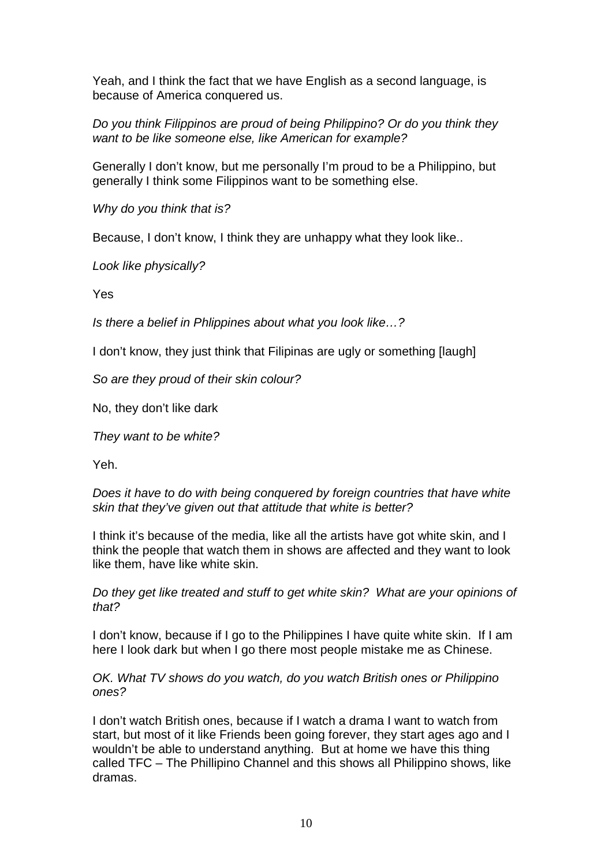Yeah, and I think the fact that we have English as a second language, is because of America conquered us.

Do you think Filippinos are proud of being Philippino? Or do you think they want to be like someone else, like American for example?

Generally I don't know, but me personally I'm proud to be a Philippino, but generally I think some Filippinos want to be something else.

Why do you think that is?

Because, I don't know, I think they are unhappy what they look like..

Look like physically?

Yes

Is there a belief in Phlippines about what you look like…?

I don't know, they just think that Filipinas are ugly or something [laugh]

So are they proud of their skin colour?

No, they don't like dark

They want to be white?

Yeh.

Does it have to do with being conquered by foreign countries that have white skin that they've given out that attitude that white is better?

I think it's because of the media, like all the artists have got white skin, and I think the people that watch them in shows are affected and they want to look like them, have like white skin.

Do they get like treated and stuff to get white skin? What are your opinions of that?

I don't know, because if I go to the Philippines I have quite white skin. If I am here I look dark but when I go there most people mistake me as Chinese.

OK. What TV shows do you watch, do you watch British ones or Philippino ones?

I don't watch British ones, because if I watch a drama I want to watch from start, but most of it like Friends been going forever, they start ages ago and I wouldn't be able to understand anything. But at home we have this thing called TFC – The Phillipino Channel and this shows all Philippino shows, like dramas.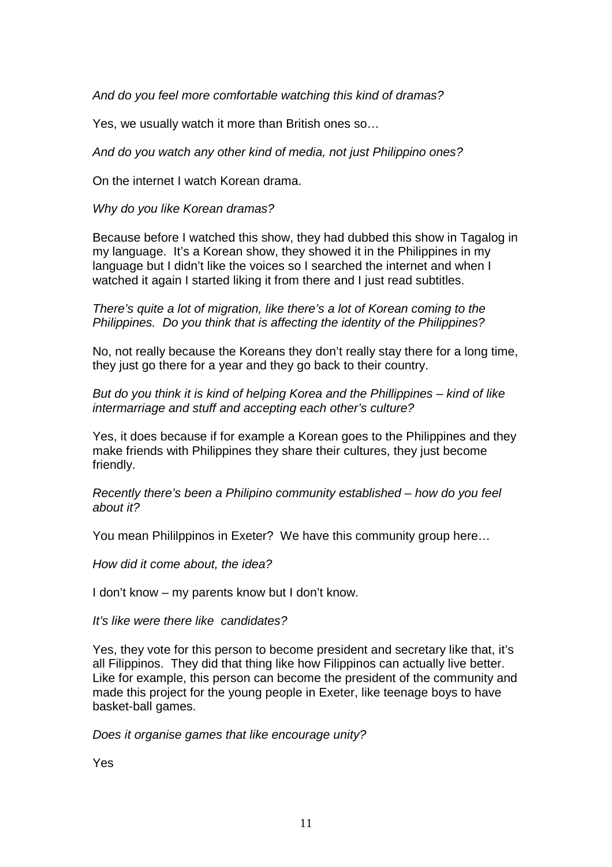And do you feel more comfortable watching this kind of dramas?

Yes, we usually watch it more than British ones so…

And do you watch any other kind of media, not just Philippino ones?

On the internet I watch Korean drama.

Why do you like Korean dramas?

Because before I watched this show, they had dubbed this show in Tagalog in my language. It's a Korean show, they showed it in the Philippines in my language but I didn't like the voices so I searched the internet and when I watched it again I started liking it from there and I just read subtitles.

There's quite a lot of migration, like there's a lot of Korean coming to the Philippines. Do you think that is affecting the identity of the Philippines?

No, not really because the Koreans they don't really stay there for a long time, they just go there for a year and they go back to their country.

But do you think it is kind of helping Korea and the Phillippines – kind of like intermarriage and stuff and accepting each other's culture?

Yes, it does because if for example a Korean goes to the Philippines and they make friends with Philippines they share their cultures, they just become friendly.

Recently there's been a Philipino community established – how do you feel about it?

You mean Phililppinos in Exeter? We have this community group here…

How did it come about, the idea?

I don't know – my parents know but I don't know.

It's like were there like candidates?

Yes, they vote for this person to become president and secretary like that, it's all Filippinos. They did that thing like how Filippinos can actually live better. Like for example, this person can become the president of the community and made this project for the young people in Exeter, like teenage boys to have basket-ball games.

Does it organise games that like encourage unity?

Yes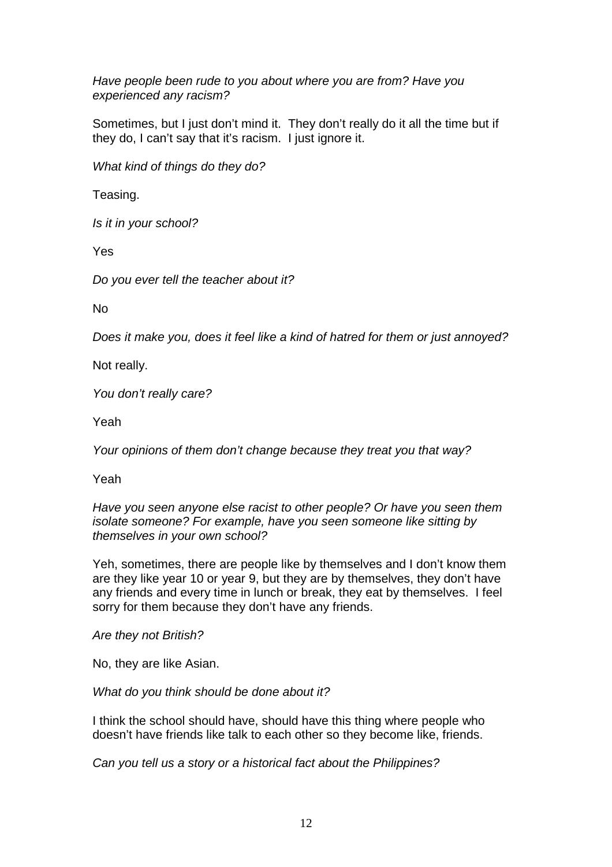Have people been rude to you about where you are from? Have you experienced any racism?

Sometimes, but I just don't mind it. They don't really do it all the time but if they do, I can't say that it's racism. I just ignore it.

What kind of things do they do?

Teasing.

Is it in your school?

Yes

Do you ever tell the teacher about it?

No

Does it make you, does it feel like a kind of hatred for them or just annoyed?

Not really.

You don't really care?

Yeah

Your opinions of them don't change because they treat you that way?

Yeah

Have you seen anyone else racist to other people? Or have you seen them isolate someone? For example, have you seen someone like sitting by themselves in your own school?

Yeh, sometimes, there are people like by themselves and I don't know them are they like year 10 or year 9, but they are by themselves, they don't have any friends and every time in lunch or break, they eat by themselves. I feel sorry for them because they don't have any friends.

Are they not British?

No, they are like Asian.

What do you think should be done about it?

I think the school should have, should have this thing where people who doesn't have friends like talk to each other so they become like, friends.

Can you tell us a story or a historical fact about the Philippines?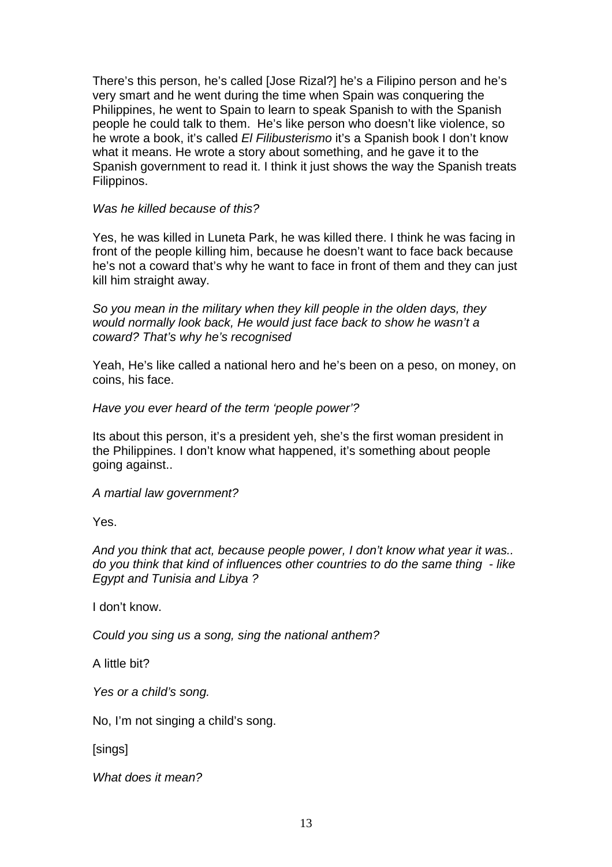There's this person, he's called [Jose Rizal?] he's a Filipino person and he's very smart and he went during the time when Spain was conquering the Philippines, he went to Spain to learn to speak Spanish to with the Spanish people he could talk to them. He's like person who doesn't like violence, so he wrote a book, it's called El Filibusterismo it's a Spanish book I don't know what it means. He wrote a story about something, and he gave it to the Spanish government to read it. I think it just shows the way the Spanish treats Filippinos.

## Was he killed because of this?

Yes, he was killed in Luneta Park, he was killed there. I think he was facing in front of the people killing him, because he doesn't want to face back because he's not a coward that's why he want to face in front of them and they can just kill him straight away.

So you mean in the military when they kill people in the olden days, they would normally look back, He would just face back to show he wasn't a coward? That's why he's recognised

Yeah, He's like called a national hero and he's been on a peso, on money, on coins, his face.

Have you ever heard of the term 'people power'?

Its about this person, it's a president yeh, she's the first woman president in the Philippines. I don't know what happened, it's something about people going against..

A martial law government?

Yes.

And you think that act, because people power, I don't know what year it was.. do you think that kind of influences other countries to do the same thing - like Egypt and Tunisia and Libya ?

I don't know.

Could you sing us a song, sing the national anthem?

A little bit?

Yes or a child's song.

No, I'm not singing a child's song.

[sings]

What does it mean?